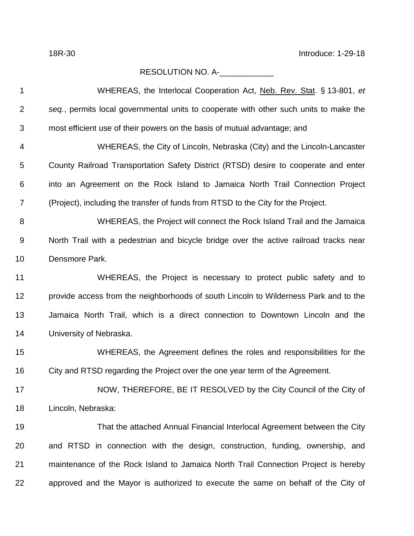## RESOLUTION NO. A-\_\_\_\_\_\_\_\_\_\_\_\_\_

| 1              | WHEREAS, the Interlocal Cooperation Act, Neb. Rev. Stat. § 13-801, et                 |
|----------------|---------------------------------------------------------------------------------------|
| $\overline{2}$ | seq., permits local governmental units to cooperate with other such units to make the |
| 3              | most efficient use of their powers on the basis of mutual advantage; and              |
| 4              | WHEREAS, the City of Lincoln, Nebraska (City) and the Lincoln-Lancaster               |
| 5              | County Railroad Transportation Safety District (RTSD) desire to cooperate and enter   |
| 6              | into an Agreement on the Rock Island to Jamaica North Trail Connection Project        |
| $\overline{7}$ | (Project), including the transfer of funds from RTSD to the City for the Project.     |
| 8              | WHEREAS, the Project will connect the Rock Island Trail and the Jamaica               |
| 9              | North Trail with a pedestrian and bicycle bridge over the active railroad tracks near |
| 10             | Densmore Park.                                                                        |
| 11             | WHEREAS, the Project is necessary to protect public safety and to                     |
| 12             | provide access from the neighborhoods of south Lincoln to Wilderness Park and to the  |
| 13             | Jamaica North Trail, which is a direct connection to Downtown Lincoln and the         |
| 14             | University of Nebraska.                                                               |
| 15             | WHEREAS, the Agreement defines the roles and responsibilities for the                 |
| 16             | City and RTSD regarding the Project over the one year term of the Agreement.          |
| 17             | NOW, THEREFORE, BE IT RESOLVED by the City Council of the City of                     |
| 18             | Lincoln, Nebraska:                                                                    |
| 19             | That the attached Annual Financial Interlocal Agreement between the City              |
| 20             | and RTSD in connection with the design, construction, funding, ownership, and         |
| 21             | maintenance of the Rock Island to Jamaica North Trail Connection Project is hereby    |
| 22             | approved and the Mayor is authorized to execute the same on behalf of the City of     |